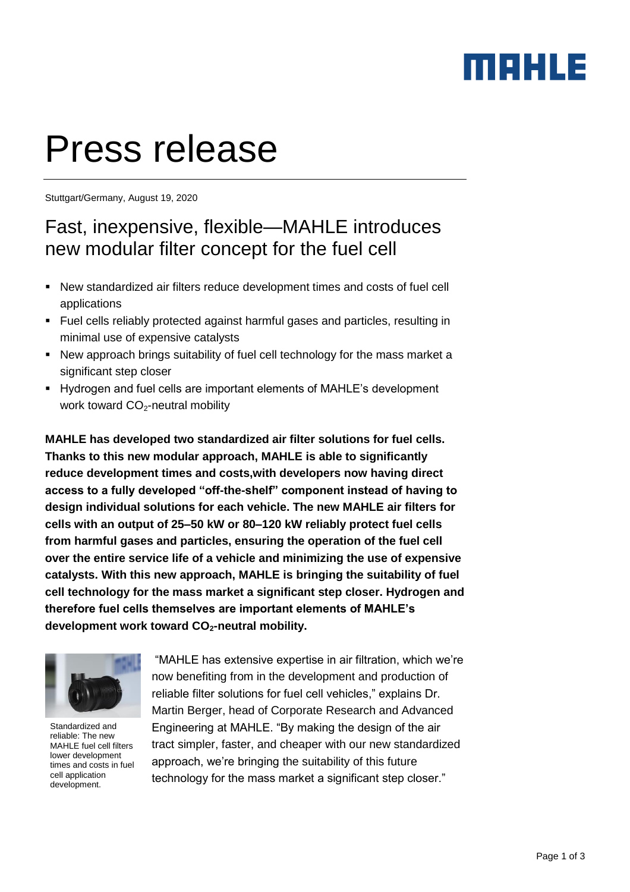### merus

# Press release

Stuttgart/Germany, August 19, 2020

### Fast, inexpensive, flexible—MAHLE introduces new modular filter concept for the fuel cell

- New standardized air filters reduce development times and costs of fuel cell applications
- Fuel cells reliably protected against harmful gases and particles, resulting in minimal use of expensive catalysts
- New approach brings suitability of fuel cell technology for the mass market a significant step closer
- Hydrogen and fuel cells are important elements of MAHLE's development work toward  $CO<sub>2</sub>$ -neutral mobility

**MAHLE has developed two standardized air filter solutions for fuel cells. Thanks to this new modular approach, MAHLE is able to significantly reduce development times and costs,with developers now having direct access to a fully developed "off-the-shelf" component instead of having to design individual solutions for each vehicle. The new MAHLE air filters for cells with an output of 25–50 kW or 80–120 kW reliably protect fuel cells from harmful gases and particles, ensuring the operation of the fuel cell over the entire service life of a vehicle and minimizing the use of expensive catalysts. With this new approach, MAHLE is bringing the suitability of fuel cell technology for the mass market a significant step closer. Hydrogen and therefore fuel cells themselves are important elements of MAHLE's development work toward CO2-neutral mobility.** 



Standardized and reliable: The new MAHLE fuel cell filters lower development times and costs in fuel cell application development.

"MAHLE has extensive expertise in air filtration, which we're now benefiting from in the development and production of reliable filter solutions for fuel cell vehicles," explains Dr. Martin Berger, head of Corporate Research and Advanced Engineering at MAHLE. "By making the design of the air tract simpler, faster, and cheaper with our new standardized approach, we're bringing the suitability of this future technology for the mass market a significant step closer."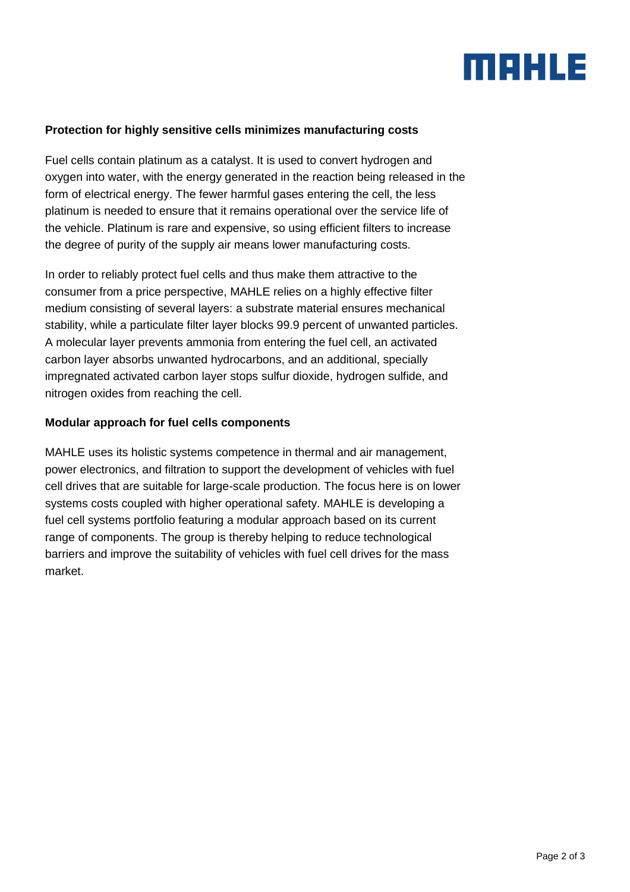## maxus

#### **Protection for highly sensitive cells minimizes manufacturing costs**

Fuel cells contain platinum as a catalyst. It is used to convert hydrogen and oxygen into water, with the energy generated in the reaction being released in the form of electrical energy. The fewer harmful gases entering the cell, the less platinum is needed to ensure that it remains operational over the service life of the vehicle. Platinum is rare and expensive, so using efficient filters to increase the degree of purity of the supply air means lower manufacturing costs.

In order to reliably protect fuel cells and thus make them attractive to the consumer from a price perspective, MAHLE relies on a highly effective filter medium consisting of several layers: a substrate material ensures mechanical stability, while a particulate filter layer blocks 99.9 percent of unwanted particles. A molecular layer prevents ammonia from entering the fuel cell, an activated carbon layer absorbs unwanted hydrocarbons, and an additional, specially impregnated activated carbon layer stops sulfur dioxide, hydrogen sulfide, and nitrogen oxides from reaching the cell.

#### **Modular approach for fuel cells components**

MAHLE uses its holistic systems competence in thermal and air management, power electronics, and filtration to support the development of vehicles with fuel cell drives that are suitable for large-scale production. The focus here is on lower systems costs coupled with higher operational safety. MAHLE is developing a fuel cell systems portfolio featuring a modular approach based on its current range of components. The group is thereby helping to reduce technological barriers and improve the suitability of vehicles with fuel cell drives for the mass market.